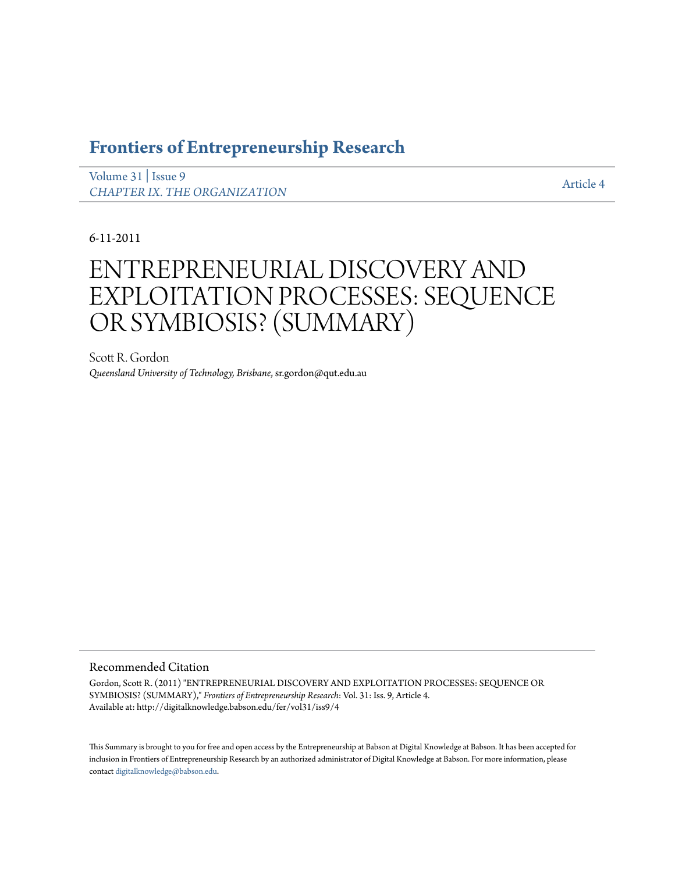# **[Frontiers of Entrepreneurship Research](http://digitalknowledge.babson.edu/fer)**

[Volume 31](http://digitalknowledge.babson.edu/fer/vol31) | [Issue 9](http://digitalknowledge.babson.edu/fer/vol31/iss9) *[CHAPTER IX. THE ORGANIZATION](http://digitalknowledge.babson.edu/fer/vol31/iss9)*

[Article 4](http://digitalknowledge.babson.edu/fer/vol31/iss9/4)

6-11-2011

# ENTREPRENEURIAL DISCOVERY AND EXPLOITATION PROCESSES: SEQUENCE OR SYMBIOSIS? (SUMMARY)

Scott R. Gordon *Queensland University of Technology, Brisbane*, sr.gordon@qut.edu.au

# Recommended Citation

Gordon, Scott R. (2011) "ENTREPRENEURIAL DISCOVERY AND EXPLOITATION PROCESSES: SEQUENCE OR SYMBIOSIS? (SUMMARY)," *Frontiers of Entrepreneurship Research*: Vol. 31: Iss. 9, Article 4. Available at: http://digitalknowledge.babson.edu/fer/vol31/iss9/4

This Summary is brought to you for free and open access by the Entrepreneurship at Babson at Digital Knowledge at Babson. It has been accepted for inclusion in Frontiers of Entrepreneurship Research by an authorized administrator of Digital Knowledge at Babson. For more information, please contact [digitalknowledge@babson.edu](mailto:digitalknowledge@babson.edu).